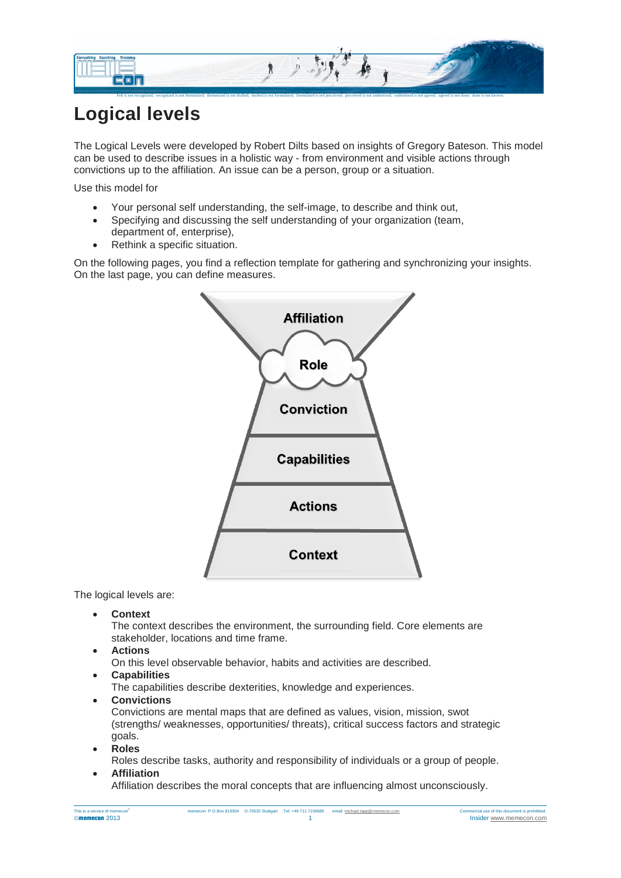

## **Logical levels**

The Logical Levels were developed by Robert Dilts based on insights of Gregory Bateson. This model can be used to describe issues in a holistic way - from environment and visible actions through convictions up to the affiliation. An issue can be a person, group or a situation.

Use this model for

- Your personal self understanding, the self-image, to describe and think out,
- Specifying and discussing the self understanding of your organization (team, department of, enterprise),
- Rethink a specific situation.

On the following pages, you find a reflection template for gathering and synchronizing your insights. On the last page, you can define measures.



The logical levels are:

• **Context** 

The context describes the environment, the surrounding field. Core elements are stakeholder, locations and time frame.

• **Actions**

On this level observable behavior, habits and activities are described.

• **Capabilities**

The capabilities describe dexterities, knowledge and experiences.

• **Convictions**

Convictions are mental maps that are defined as values, vision, mission, swot (strengths/ weaknesses, opportunities/ threats), critical success factors and strategic goals.

• **Roles** Roles describe tasks, authority and responsibility of individuals or a group of people. • **Affiliation** 

Affiliation describes the moral concepts that are influencing almost unconsciously.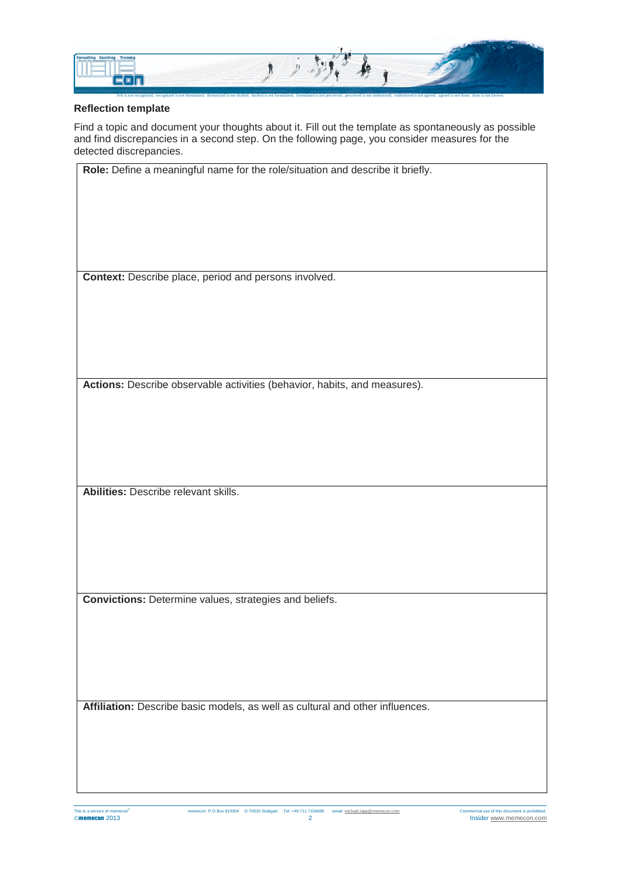

## **Reflection template**

Find a topic and document your thoughts about it. Fill out the template as spontaneously as possible and find discrepancies in a second step. On the following page, you consider measures for the detected discrepancies.

| Role: Define a meaningful name for the role/situation and describe it briefly. |
|--------------------------------------------------------------------------------|
|                                                                                |
|                                                                                |
|                                                                                |
|                                                                                |
|                                                                                |
|                                                                                |
|                                                                                |
| Context: Describe place, period and persons involved.                          |
|                                                                                |
|                                                                                |
|                                                                                |
|                                                                                |
|                                                                                |
|                                                                                |
|                                                                                |
| Actions: Describe observable activities (behavior, habits, and measures).      |
|                                                                                |
|                                                                                |
|                                                                                |
|                                                                                |
|                                                                                |
|                                                                                |
|                                                                                |
| Abilities: Describe relevant skills.                                           |
|                                                                                |
|                                                                                |
|                                                                                |
|                                                                                |
|                                                                                |
|                                                                                |
|                                                                                |
| Convictions: Determine values, strategies and beliefs.                         |
|                                                                                |
|                                                                                |
|                                                                                |
|                                                                                |
|                                                                                |
|                                                                                |
|                                                                                |
| Affiliation: Describe basic models, as well as cultural and other influences.  |
|                                                                                |
|                                                                                |
|                                                                                |
|                                                                                |
|                                                                                |